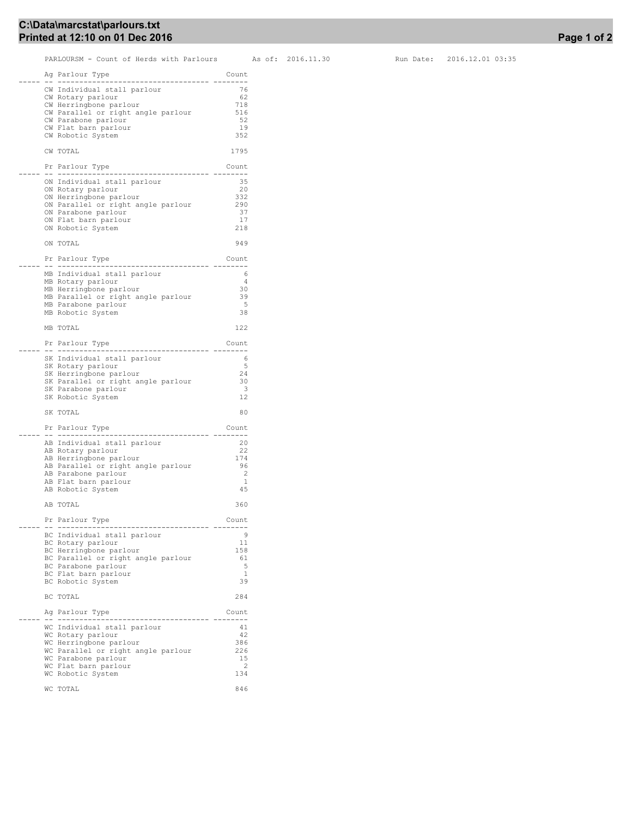## C:\Data\marcstat\parlours.txt Printed at 12:10 on 01 Dec 2016

PARLOURSM - Count of Herds with Parlours As of: 2016.11.30 Run Date: 2016.12.01 03:35

|  | Ag Parlour Type<br>.<br>------------------                            | Count     |
|--|-----------------------------------------------------------------------|-----------|
|  | CW Individual stall parlour                                           | 76        |
|  | CW Rotary parlour                                                     | 62        |
|  | CW Herringbone parlour                                                | 718       |
|  | CW Parallel or right angle parlour                                    | 516       |
|  | CW Parabone parlour                                                   | 52        |
|  | CW Flat barn parlour                                                  | 19        |
|  | CW Robotic System                                                     | 352       |
|  | CW TOTAL                                                              | 1795      |
|  | Pr Parlour Type<br>-- ------------<br>. <u>.</u>                      | Count     |
|  | ON Individual stall parlour                                           | 35        |
|  | ON Rotary parlour                                                     | 20        |
|  | ON Herringbone parlour                                                | 332       |
|  | ON Parallel or right angle parlour                                    | 290       |
|  | ON Parabone parlour                                                   | 37<br>17  |
|  | ON Flat barn parlour<br>ON Robotic System                             | 218       |
|  | ON TOTAL                                                              | 949       |
|  | Pr Parlour Type                                                       | Count     |
|  | -- -----------                                                        |           |
|  | MB Individual stall parlour                                           | 6<br>4    |
|  | MB Rotary parlour                                                     | 30        |
|  | MB Herringbone parlour<br>MB Parallel or right angle parlour          | 39        |
|  | MB Parabone parlour                                                   | 5         |
|  | MB Robotic System                                                     | 38        |
|  | MB TOTAL                                                              | 122       |
|  | Pr Parlour Type                                                       | Count     |
|  | -- ----------------                                                   | $- - - -$ |
|  | SK Individual stall parlour<br>SK Rotary parlour                      | 6<br>5    |
|  | SK Herringbone parlour                                                | 24        |
|  | SK Parallel or right angle parlour                                    | 30        |
|  | SK Parabone parlour                                                   | 3         |
|  | SK Robotic System                                                     | 12        |
|  | SK TOTAL                                                              | 80        |
|  | Pr Parlour Type                                                       | Count     |
|  | .<br>---------                                                        |           |
|  | AB Individual stall parlour                                           | 20        |
|  | AB Rotary parlour                                                     | 22<br>174 |
|  | AB Herringbone parlour<br>AB Parallel or right angle parlour          | 96        |
|  | AB Parabone parlour                                                   | 2         |
|  | AB Flat barn parlour                                                  | 1         |
|  | AB Robotic System                                                     | 45        |
|  | AB TOTAL                                                              | 360       |
|  | Pr Parlour Type                                                       | Count     |
|  | -- -----------------------------------<br>BC Individual stall parlour | 9         |
|  | BC Rotary parlour                                                     | 11        |
|  | BC Herringbone parlour                                                | 158       |
|  | BC Parallel or right angle parlour                                    | 61        |
|  | BC Parabone parlour                                                   | 5         |
|  | BC Flat barn parlour                                                  | 1         |
|  | BC Robotic System                                                     | 39        |
|  | BC TOTAL                                                              | 284       |
|  | Ag Parlour Type<br>-- -----------                                     | Count     |
|  | WC Individual stall parlour                                           | 41        |
|  | WC Rotary parlour                                                     | 42        |
|  | WC Herringbone parlour                                                | 386       |
|  | WC Parallel or right angle parlour                                    | 226       |
|  | WC Parabone parlour                                                   | 15        |
|  | WC Flat barn parlour                                                  | 2         |
|  | WC Robotic System                                                     | 134       |
|  | WC TOTAL                                                              | 846       |
|  |                                                                       |           |